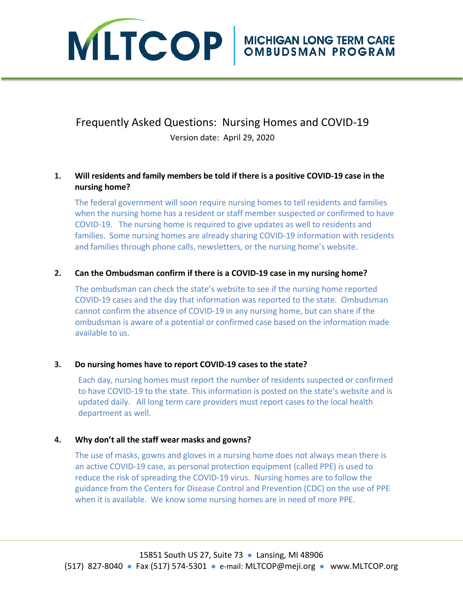

# Frequently Asked Questions: Nursing Homes and COVID-19 Version date: April 29, 2020

# **1. Will residents and family members be told if there is a positive COVID-19 case in the nursing home?**

The federal government will soon require nursing homes to tell residents and families when the nursing home has a resident or staff member suspected or confirmed to have COVID-19. The nursing home is required to give updates as well to residents and families. Some nursing homes are already sharing COVID-19 information with residents and families through phone calls, newsletters, or the nursing home's website.

# **2. Can the Ombudsman confirm if there is a COVID-19 case in my nursing home?**

The ombudsman can check the state's website to see if the nursing home reported COVID-19 cases and the day that information was reported to the state. Ombudsman cannot confirm the absence of COVID-19 in any nursing home, but can share if the ombudsman is aware of a potential or confirmed case based on the information made available to us.

### **3. Do nursing homes have to report COVID-19 cases to the state?**

Each day, nursing homes must report the number of residents suspected or confirmed to have COVID-19 to the state. This information is posted on the state's website and is updated daily. All long term care providers must report cases to the local health department as well.

# **4. Why don't all the staff wear masks and gowns?**

The use of masks, gowns and gloves in a nursing home does not always mean there is an active COVID-19 case, as personal protection equipment (called PPE) is used to reduce the risk of spreading the COVID-19 virus. Nursing homes are to follow the guidance from the Centers for Disease Control and Prevention (CDC) on the use of PPE when it is available. We know some nursing homes are in need of more PPE.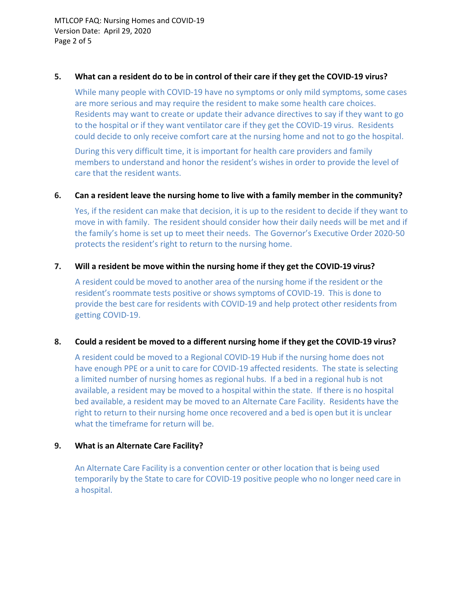MTLCOP FAQ: Nursing Homes and COVID-19 Version Date: April 29, 2020 Page 2 of 5

#### **5. What can a resident do to be in control of their care if they get the COVID-19 virus?**

While many people with COVID-19 have no symptoms or only mild symptoms, some cases are more serious and may require the resident to make some health care choices. Residents may want to create or update their advance directives to say if they want to go to the hospital or if they want ventilator care if they get the COVID-19 virus. Residents could decide to only receive comfort care at the nursing home and not to go the hospital.

During this very difficult time, it is important for health care providers and family members to understand and honor the resident's wishes in order to provide the level of care that the resident wants.

### **6. Can a resident leave the nursing home to live with a family member in the community?**

Yes, if the resident can make that decision, it is up to the resident to decide if they want to move in with family. The resident should consider how their daily needs will be met and if the family's home is set up to meet their needs. The Governor's Executive Order 2020-50 protects the resident's right to return to the nursing home.

#### **7. Will a resident be move within the nursing home if they get the COVID-19 virus?**

A resident could be moved to another area of the nursing home if the resident or the resident's roommate tests positive or shows symptoms of COVID-19. This is done to provide the best care for residents with COVID-19 and help protect other residents from getting COVID-19.

### **8. Could a resident be moved to a different nursing home if they get the COVID-19 virus?**

A resident could be moved to a Regional COVID-19 Hub if the nursing home does not have enough PPE or a unit to care for COVID-19 affected residents. The state is selecting a limited number of nursing homes as regional hubs. If a bed in a regional hub is not available, a resident may be moved to a hospital within the state. If there is no hospital bed available, a resident may be moved to an Alternate Care Facility. Residents have the right to return to their nursing home once recovered and a bed is open but it is unclear what the timeframe for return will be.

#### **9. What is an Alternate Care Facility?**

An Alternate Care Facility is a convention center or other location that is being used temporarily by the State to care for COVID-19 positive people who no longer need care in a hospital.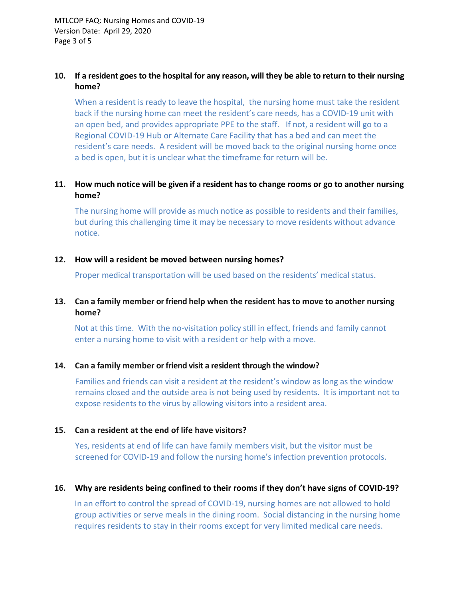# **10. If a resident goes to the hospital for any reason, will they be able to return to their nursing home?**

When a resident is ready to leave the hospital, the nursing home must take the resident back if the nursing home can meet the resident's care needs, has a COVID-19 unit with an open bed, and provides appropriate PPE to the staff. If not, a resident will go to a Regional COVID-19 Hub or Alternate Care Facility that has a bed and can meet the resident's care needs. A resident will be moved back to the original nursing home once a bed is open, but it is unclear what the timeframe for return will be.

# **11. How much notice will be given if a resident has to change rooms or go to another nursing home?**

The nursing home will provide as much notice as possible to residents and their families, but during this challenging time it may be necessary to move residents without advance notice.

#### **12. How will a resident be moved between nursing homes?**

Proper medical transportation will be used based on the residents' medical status.

### **13. Can a family member or friend help when the resident has to move to another nursing home?**

Not at this time. With the no-visitation policy still in effect, friends and family cannot enter a nursing home to visit with a resident or help with a move.

### **14. Can a family member or friend visit a resident through the window?**

Families and friends can visit a resident at the resident's window as long as the window remains closed and the outside area is not being used by residents. It is important not to expose residents to the virus by allowing visitors into a resident area.

### **15. Can a resident at the end of life have visitors?**

Yes, residents at end of life can have family members visit, but the visitor must be screened for COVID-19 and follow the nursing home's infection prevention protocols.

#### **16. Why are residents being confined to their rooms if they don't have signs of COVID-19?**

In an effort to control the spread of COVID-19, nursing homes are not allowed to hold group activities or serve meals in the dining room. Social distancing in the nursing home requires residents to stay in their rooms except for very limited medical care needs.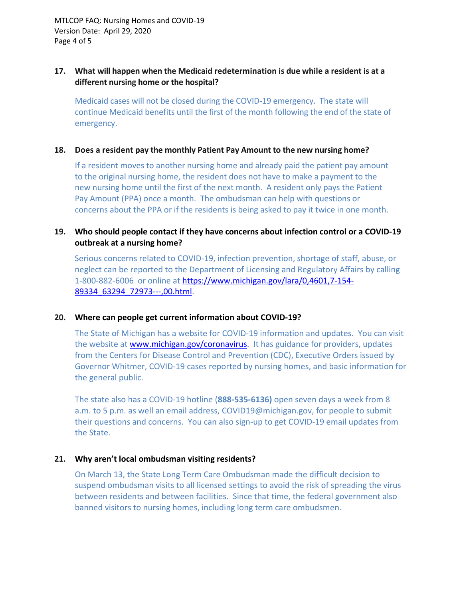MTLCOP FAQ: Nursing Homes and COVID-19 Version Date: April 29, 2020 Page 4 of 5

#### **17. What will happen when the Medicaid redetermination is due while a resident is at a different nursing home or the hospital?**

Medicaid cases will not be closed during the COVID-19 emergency. The state will continue Medicaid benefits until the first of the month following the end of the state of emergency.

#### **18. Does a resident pay the monthly Patient Pay Amount to the new nursing home?**

If a resident moves to another nursing home and already paid the patient pay amount to the original nursing home, the resident does not have to make a payment to the new nursing home until the first of the next month. A resident only pays the Patient Pay Amount (PPA) once a month. The ombudsman can help with questions or concerns about the PPA or if the residents is being asked to pay it twice in one month.

# **19. Who should people contact if they have concerns about infection control or a COVID-19 outbreak at a nursing home?**

Serious concerns related to COVID-19, infection prevention, shortage of staff, abuse, or neglect can be reported to the Department of Licensing and Regulatory Affairs by calling 1-800-882-6006 or online at [https://www.michigan.gov/lara/0,4601,7-154-](https://www.michigan.gov/lara/0,4601,7-154-89334_63294_72973---,00.html) [89334\\_63294\\_72973---,00.html.](https://www.michigan.gov/lara/0,4601,7-154-89334_63294_72973---,00.html)

### **20. Where can people get current information about COVID-19?**

The State of Michigan has a website for COVID-19 information and updates. You can visit the website at [www.michigan.gov/](http://www.michigan.gov/)coronavirus. It has guidance for providers, updates from the Centers for Disease Control and Prevention (CDC), Executive Orders issued by Governor Whitmer, COVID-19 cases reported by nursing homes, and basic information for the general public.

The state also has a COVID-19 hotline (**888-535-6136)** open seven days a week from 8 a.m. to 5 p.m. as well an email address, COVID19@michigan.gov, for people to submit their questions and concerns. You can also sign-up to get COVID-19 email updates from the State.

### **21. Why aren't local ombudsman visiting residents?**

On March 13, the State Long Term Care Ombudsman made the difficult decision to suspend ombudsman visits to all licensed settings to avoid the risk of spreading the virus between residents and between facilities. Since that time, the federal government also banned visitors to nursing homes, including long term care ombudsmen.